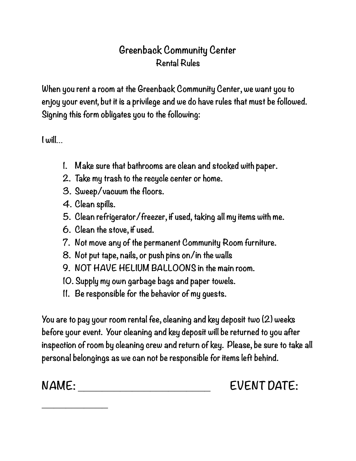## **Greenback Community Center Rental Rules**

**When you rent a room at the Greenback Community Center, we want you to enjoy your event, but it is a privilege and we do have rules that must be followed. Signing this form obligates you to the following:** 

**I will…** 

- **1. Make sure that bathrooms are clean and stocked with paper.**
- **2. Take my trash to the recycle center or home.**
- **3. Sweep/vacuum the floors.**
- **4. Clean spills.**

**\_\_\_\_\_\_\_\_\_\_\_** 

- **5. Clean refrigerator/freezer, if used, taking all my items with me.**
- **6. Clean the stove, if used.**
- **7. Not move any of the permanent Community Room furniture.**
- **8. Not put tape, nails, or push pins on/in the walls**
- **9. NOT HAVE HELIUM BALLOONS in the main room.**
- **10. Supply my own garbage bags and paper towels.**
- **11. Be responsible for the behavior of my guests.**

**You are to pay your room rental fee, cleaning and key deposit two (2) weeks before your event. Your cleaning and key deposit will be returned to you after inspection of room by cleaning crew and return of key. Please, be sure to take all personal belongings as we can not be responsible for items left behind.** 

NAME: EVENT DATE: